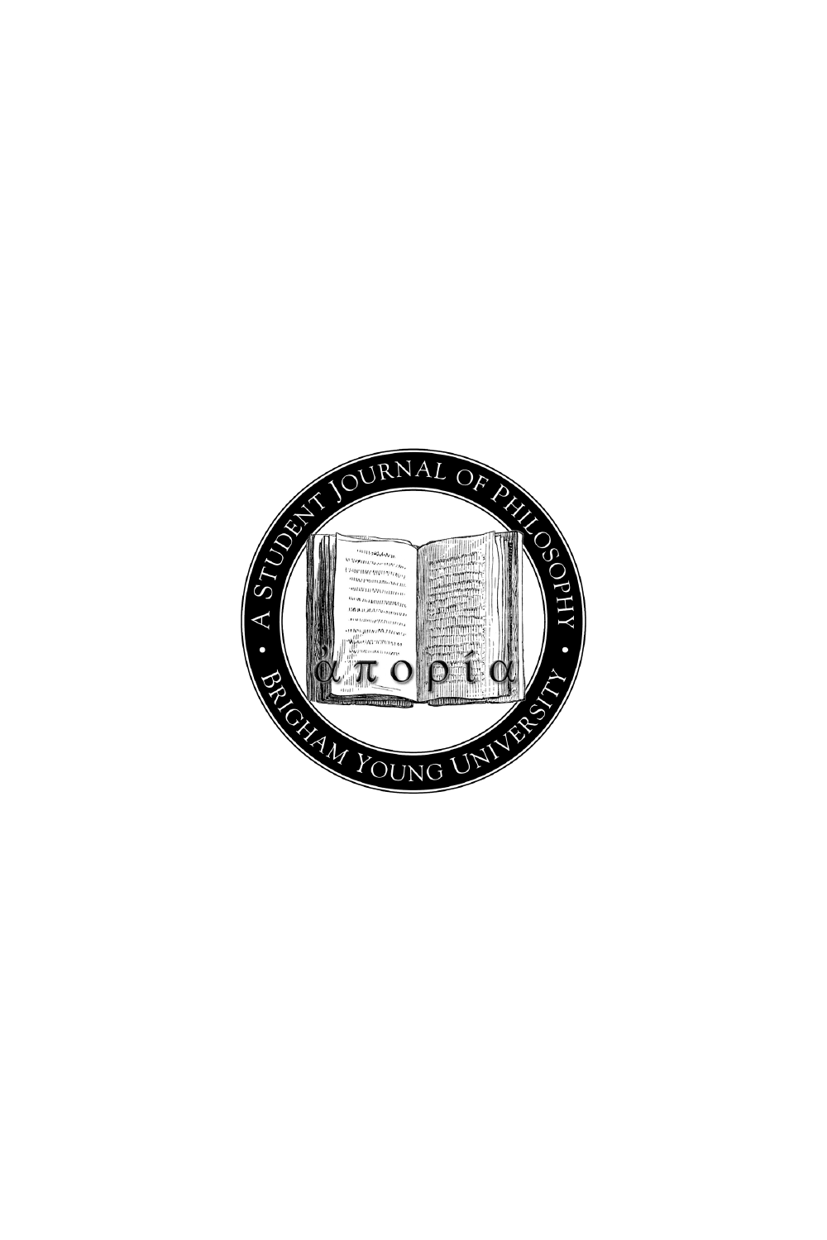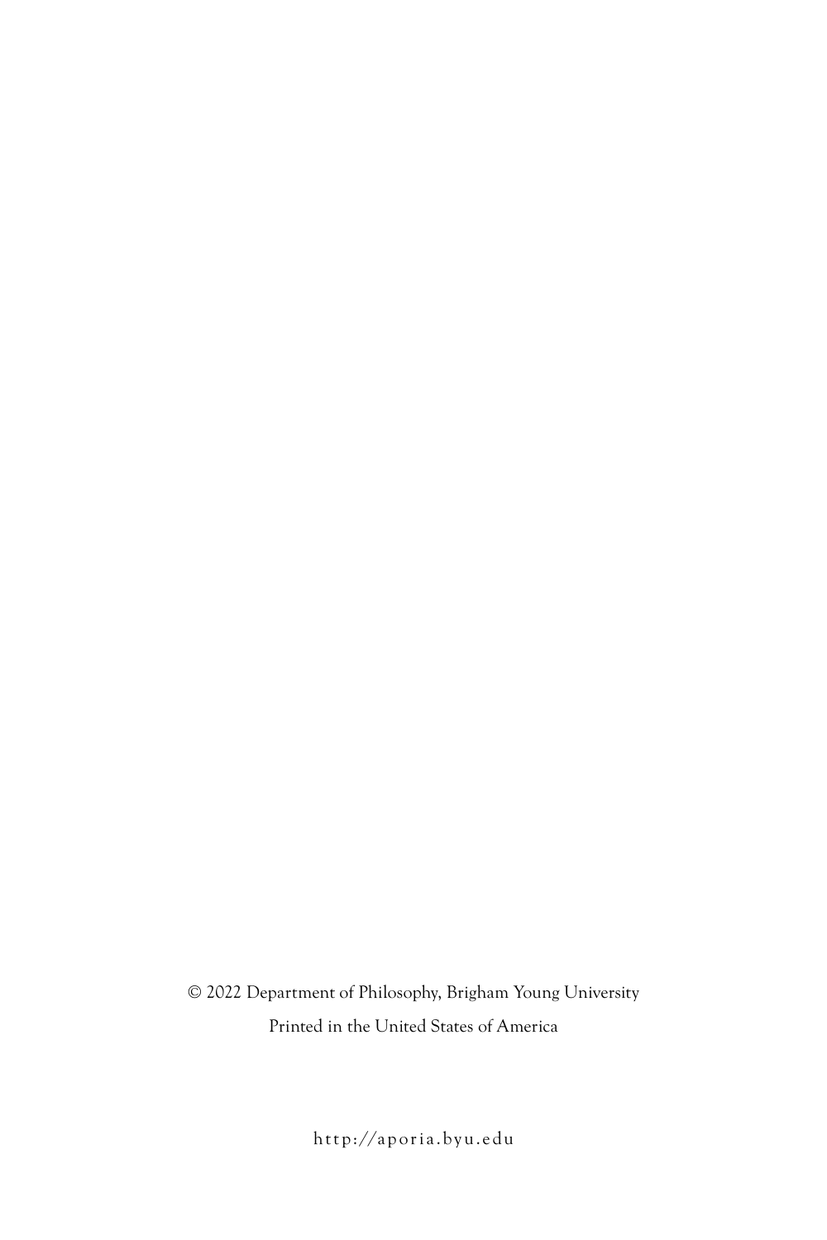© 2022 Department of Philosophy, Brigham Young University Printed in the United States of America

http://aporia.byu.edu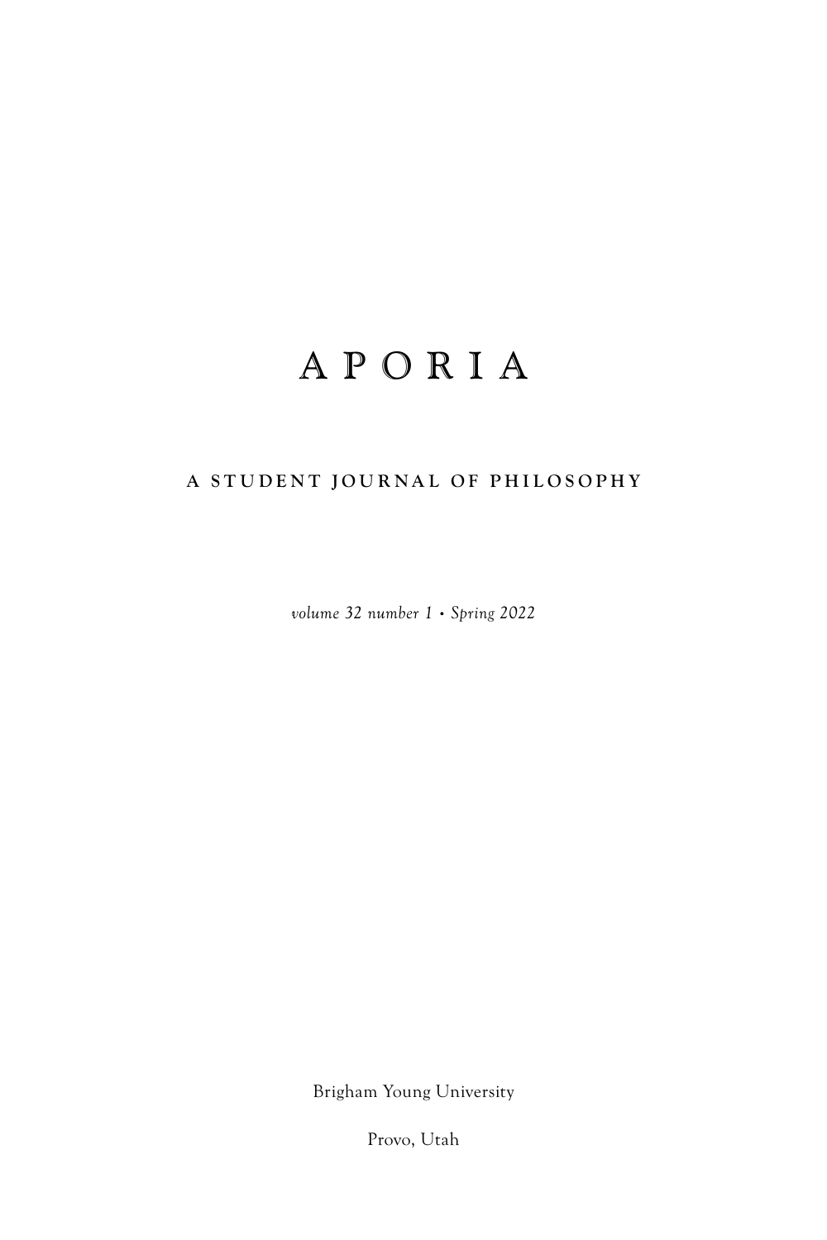## APORIA

## **A STUDENT JOURNAL OF PHILOSOPHY**

*volume 32 number 1 • Spring 2022*

Brigham Young University

Provo, Utah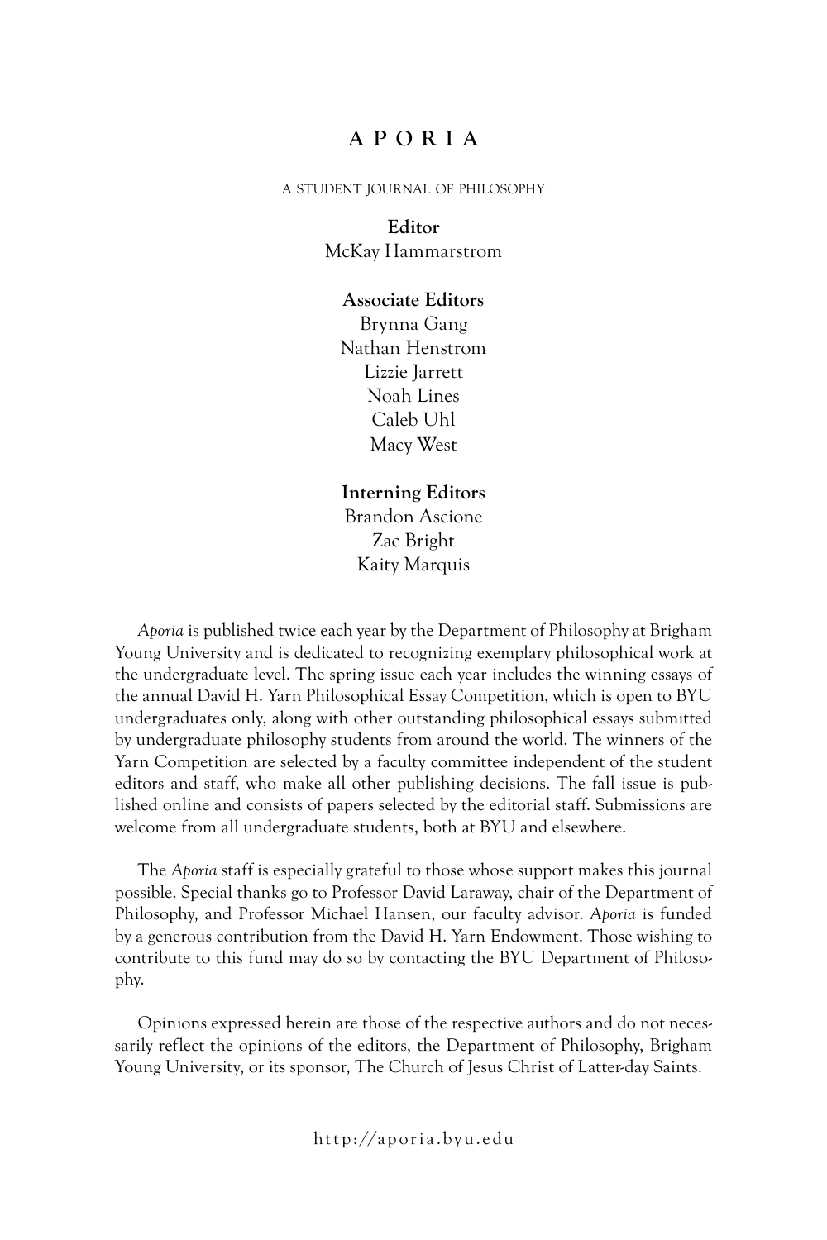## **APORIA**

#### a student journal of philosophy

### **Editor** McKay Hammarstrom

#### **Associate Editors**

Brynna Gang Nathan Henstrom Lizzie Jarrett Noah Lines Caleb Uhl Macy West

### **Interning Editors** Brandon Ascione Zac Bright Kaity Marquis

*Aporia* is published twice each year by the Department of Philosophy at Brigham Young University and is dedicated to recognizing exemplary philosophical work at the undergraduate level. The spring issue each year includes the winning essays of the annual David H. Yarn Philosophical Essay Competition, which is open to BYU undergraduates only, along with other outstanding philosophical essays submitted by undergraduate philosophy students from around the world. The winners of the Yarn Competition are selected by a faculty committee independent of the student editors and staff, who make all other publishing decisions. The fall issue is published online and consists of papers selected by the editorial staff. Submissions are welcome from all undergraduate students, both at BYU and elsewhere.

The *Aporia* staff is especially grateful to those whose support makes this journal possible. Special thanks go to Professor David Laraway, chair of the Department of Philosophy, and Professor Michael Hansen, our faculty advisor. *Aporia* is funded by a generous contribution from the David H. Yarn Endowment. Those wishing to contribute to this fund may do so by contacting the BYU Department of Philosophy.

Opinions expressed herein are those of the respective authors and do not necessarily reflect the opinions of the editors, the Department of Philosophy, Brigham Young University, or its sponsor, The Church of Jesus Christ of Latter-day Saints.

http://aporia.byu.edu